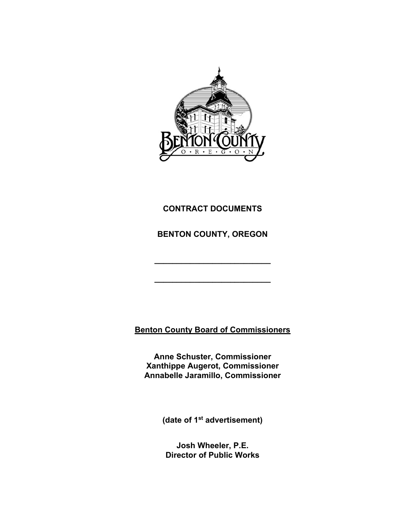

# **CONTRACT DOCUMENTS**

**BENTON COUNTY, OREGON** 

**\_\_\_\_\_\_\_\_\_\_\_\_\_\_\_\_\_\_\_\_\_\_\_\_\_\_** 

**\_\_\_\_\_\_\_\_\_\_\_\_\_\_\_\_\_\_\_\_\_\_\_\_\_\_** 

**Benton County Board of Commissioners** 

**Anne Schuster, Commissioner Xanthippe Augerot, Commissioner Annabelle Jaramillo, Commissioner** 

**(date of 1st advertisement)** 

**Josh Wheeler, P.E. Director of Public Works**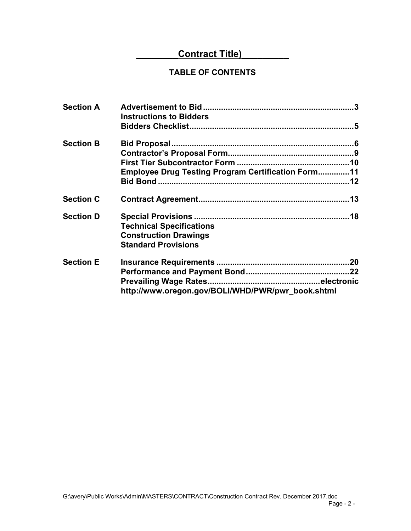# **Contract Title)**

# **TABLE OF CONTENTS**

| <b>Section A</b> | <b>Instructions to Bidders</b>                                                                |  |
|------------------|-----------------------------------------------------------------------------------------------|--|
|                  |                                                                                               |  |
| <b>Section B</b> |                                                                                               |  |
|                  |                                                                                               |  |
|                  | <b>Employee Drug Testing Program Certification Form11</b>                                     |  |
|                  |                                                                                               |  |
| <b>Section C</b> |                                                                                               |  |
| <b>Section D</b> | <b>Technical Specifications</b><br><b>Construction Drawings</b><br><b>Standard Provisions</b> |  |
| <b>Section E</b> | http://www.oregon.gov/BOLI/WHD/PWR/pwr_book.shtml                                             |  |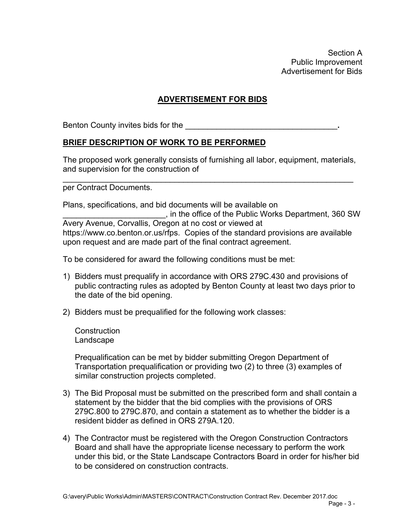Section A Public Improvement Advertisement for Bids

# **ADVERTISEMENT FOR BIDS**

Benton County invites bids for the

## **BRIEF DESCRIPTION OF WORK TO BE PERFORMED**

The proposed work generally consists of furnishing all labor, equipment, materials, and supervision for the construction of

\_\_\_\_\_\_\_\_\_\_\_\_\_\_\_\_\_\_\_\_\_\_\_\_\_\_\_\_\_\_\_\_\_\_\_\_\_\_\_\_\_\_\_\_\_\_\_\_\_\_\_\_\_\_\_\_\_\_\_\_\_\_\_\_\_

per Contract Documents.

Plans, specifications, and bid documents will be available on \_\_\_\_\_\_\_\_\_\_\_\_\_\_\_\_\_\_\_\_\_\_\_, in the office of the Public Works Department, 360 SW Avery Avenue, Corvallis, Oregon at no cost or viewed at https://www.co.benton.or.us/rfps. Copies of the standard provisions are available upon request and are made part of the final contract agreement.

To be considered for award the following conditions must be met:

- 1) Bidders must prequalify in accordance with ORS 279C.430 and provisions of public contracting rules as adopted by Benton County at least two days prior to the date of the bid opening.
- 2) Bidders must be prequalified for the following work classes:

**Construction** Landscape

Prequalification can be met by bidder submitting Oregon Department of Transportation prequalification or providing two (2) to three (3) examples of similar construction projects completed.

- 3) The Bid Proposal must be submitted on the prescribed form and shall contain a statement by the bidder that the bid complies with the provisions of ORS 279C.800 to 279C.870, and contain a statement as to whether the bidder is a resident bidder as defined in ORS 279A.120.
- 4) The Contractor must be registered with the Oregon Construction Contractors Board and shall have the appropriate license necessary to perform the work under this bid, or the State Landscape Contractors Board in order for his/her bid to be considered on construction contracts.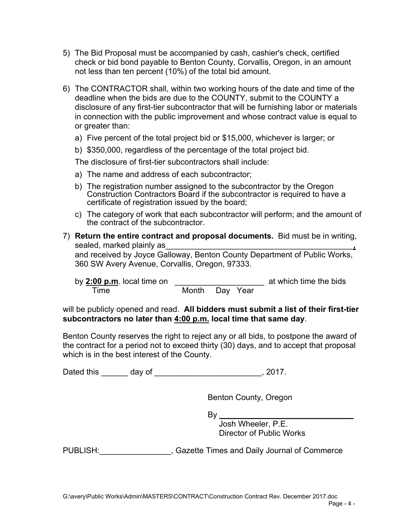- 5) The Bid Proposal must be accompanied by cash, cashier's check, certified check or bid bond payable to Benton County, Corvallis, Oregon, in an amount not less than ten percent (10%) of the total bid amount.
- 6) The CONTRACTOR shall, within two working hours of the date and time of the deadline when the bids are due to the COUNTY, submit to the COUNTY a disclosure of any first-tier subcontractor that will be furnishing labor or materials in connection with the public improvement and whose contract value is equal to or greater than:
	- a) Five percent of the total project bid or \$15,000, whichever is larger; or
	- b) \$350,000, regardless of the percentage of the total project bid.

The disclosure of first-tier subcontractors shall include:

- a) The name and address of each subcontractor;
- b) The registration number assigned to the subcontractor by the Oregon Construction Contractors Board if the subcontractor is required to have a certificate of registration issued by the board;
- c) The category of work that each subcontractor will perform; and the amount of the contract of the subcontractor.
- 7) **Return the entire contract and proposal documents.** Bid must be in writing, sealed, marked plainly as\_\_\_\_\_\_\_\_\_\_\_\_\_\_\_\_\_\_\_\_\_\_\_\_\_\_\_\_\_\_\_\_\_\_\_\_\_\_\_\_\_\_**,** and received by Joyce Galloway, Benton County Department of Public Works, 360 SW Avery Avenue, Corvallis, Oregon, 97333.

| by $2:00$ p.m. local time on |                |  | at which time the bids |
|------------------------------|----------------|--|------------------------|
| Time                         | Month Day Year |  |                        |

will be publicly opened and read. **All bidders must submit a list of their first-tier subcontractors no later than 4:00 p.m. local time that same day**.

Benton County reserves the right to reject any or all bids, to postpone the award of the contract for a period not to exceed thirty (30) days, and to accept that proposal which is in the best interest of the County.

Dated this day of the control of the control of the control of the control of the control of the control of the control of the control of the control of the control of the control of the control of the control of the contr

Benton County, Oregon

By \_\_\_\_\_\_\_\_\_\_\_\_\_\_\_\_\_\_\_\_\_\_\_\_\_\_\_\_\_\_

 Josh Wheeler, P.E. Director of Public Works

PUBLISH: Cazette Times and Daily Journal of Commerce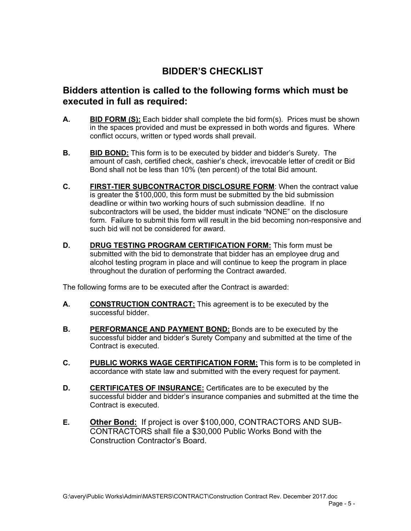# **BIDDER'S CHECKLIST**

# **Bidders attention is called to the following forms which must be executed in full as required:**

- **A. BID FORM (S):** Each bidder shall complete the bid form(s). Prices must be shown in the spaces provided and must be expressed in both words and figures. Where conflict occurs, written or typed words shall prevail.
- **B. BID BOND:** This form is to be executed by bidder and bidder's Surety. The amount of cash, certified check, cashier's check, irrevocable letter of credit or Bid Bond shall not be less than 10% (ten percent) of the total Bid amount.
- **C.** FIRST-TIER SUBCONTRACTOR DISCLOSURE FORM: When the contract value is greater the \$100,000, this form must be submitted by the bid submission deadline or within two working hours of such submission deadline. If no subcontractors will be used, the bidder must indicate "NONE" on the disclosure form. Failure to submit this form will result in the bid becoming non-responsive and such bid will not be considered for award.
- **D. DRUG TESTING PROGRAM CERTIFICATION FORM:** This form must be submitted with the bid to demonstrate that bidder has an employee drug and alcohol testing program in place and will continue to keep the program in place throughout the duration of performing the Contract awarded.

The following forms are to be executed after the Contract is awarded:

- **A. CONSTRUCTION CONTRACT:** This agreement is to be executed by the successful bidder.
- **B. PERFORMANCE AND PAYMENT BOND:** Bonds are to be executed by the successful bidder and bidder's Surety Company and submitted at the time of the Contract is executed.
- **C. PUBLIC WORKS WAGE CERTIFICATION FORM:** This form is to be completed in accordance with state law and submitted with the every request for payment.
- **D. CERTIFICATES OF INSURANCE:** Certificates are to be executed by the successful bidder and bidder's insurance companies and submitted at the time the Contract is executed.
- **E. Other Bond:** If project is over \$100,000, CONTRACTORS AND SUB-CONTRACTORS shall file a \$30,000 Public Works Bond with the Construction Contractor's Board.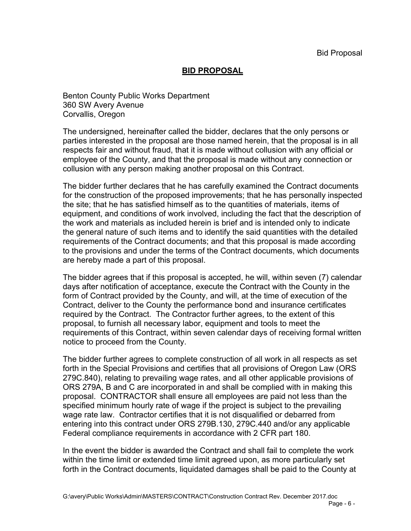## **BID PROPOSAL**

Benton County Public Works Department 360 SW Avery Avenue Corvallis, Oregon

The undersigned, hereinafter called the bidder, declares that the only persons or parties interested in the proposal are those named herein, that the proposal is in all respects fair and without fraud, that it is made without collusion with any official or employee of the County, and that the proposal is made without any connection or collusion with any person making another proposal on this Contract.

The bidder further declares that he has carefully examined the Contract documents for the construction of the proposed improvements; that he has personally inspected the site; that he has satisfied himself as to the quantities of materials, items of equipment, and conditions of work involved, including the fact that the description of the work and materials as included herein is brief and is intended only to indicate the general nature of such items and to identify the said quantities with the detailed requirements of the Contract documents; and that this proposal is made according to the provisions and under the terms of the Contract documents, which documents are hereby made a part of this proposal.

The bidder agrees that if this proposal is accepted, he will, within seven (7) calendar days after notification of acceptance, execute the Contract with the County in the form of Contract provided by the County, and will, at the time of execution of the Contract, deliver to the County the performance bond and insurance certificates required by the Contract. The Contractor further agrees, to the extent of this proposal, to furnish all necessary labor, equipment and tools to meet the requirements of this Contract, within seven calendar days of receiving formal written notice to proceed from the County.

The bidder further agrees to complete construction of all work in all respects as set forth in the Special Provisions and certifies that all provisions of Oregon Law (ORS 279C.840), relating to prevailing wage rates, and all other applicable provisions of ORS 279A, B and C are incorporated in and shall be complied with in making this proposal. CONTRACTOR shall ensure all employees are paid not less than the specified minimum hourly rate of wage if the project is subject to the prevailing wage rate law. Contractor certifies that it is not disqualified or debarred from entering into this contract under ORS 279B.130, 279C.440 and/or any applicable Federal compliance requirements in accordance with 2 CFR part 180.

In the event the bidder is awarded the Contract and shall fail to complete the work within the time limit or extended time limit agreed upon, as more particularly set forth in the Contract documents, liquidated damages shall be paid to the County at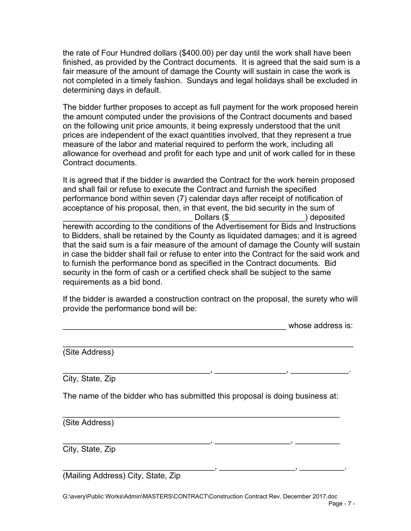the rate of Four Hundred dollars (\$400.00) per day until the work shall have been finished, as provided by the Contract documents. It is agreed that the said sum is a fair measure of the amount of damage the County will sustain in case the work is not completed in a timely fashion. Sundays and legal holidays shall be excluded in determining days in default.

The bidder further proposes to accept as full payment for the work proposed herein the amount computed under the provisions of the Contract documents and based on the following unit price amounts, it being expressly understood that the unit prices are independent of the exact quantities involved, that they represent a true measure of the labor and material required to perform the work, including all allowance for overhead and profit for each type and unit of work called for in these Contract documents.

It is agreed that if the bidder is awarded the Contract for the work herein proposed and shall fail or refuse to execute the Contract and furnish the specified performance bond within seven (7) calendar days after receipt of notification of acceptance of his proposal, then, in that event, the bid security in the sum of \_\_\_\_\_\_\_\_\_\_\_\_\_\_\_\_\_\_\_\_\_\_\_\_\_\_\_\_\_ Dollars (\$\_\_\_\_\_\_\_\_\_\_\_\_\_\_\_\_\_) deposited herewith according to the conditions of the Advertisement for Bids and Instructions to Bidders, shall be retained by the County as liquidated damages; and it is agreed that the said sum is a fair measure of the amount of damage the County will sustain in case the bidder shall fail or refuse to enter into the Contract for the said work and to furnish the performance bond as specified in the Contract documents. Bid security in the form of cash or a certified check shall be subject to the same requirements as a bid bond.

If the bidder is awarded a construction contract on the proposal, the surety who will provide the performance bond will be:

\_\_\_\_\_\_\_\_\_\_\_\_\_\_\_\_\_\_\_\_\_\_\_\_\_\_\_\_\_\_\_\_\_\_\_\_\_\_\_\_\_\_\_\_\_\_\_\_\_\_\_\_\_\_\_\_\_\_\_\_\_\_\_\_\_

\_\_\_\_\_\_\_\_\_\_\_\_\_\_\_\_\_\_\_\_\_\_\_\_\_\_\_\_\_\_\_\_\_, \_\_\_\_\_\_\_\_\_\_\_\_\_\_\_\_, \_\_\_\_\_\_\_\_\_\_\_\_\_.

whose address is:

(Site Address)

City, State, Zip

The name of the bidder who has submitted this proposal is doing business at:

\_\_\_\_\_\_\_\_\_\_\_\_\_\_\_\_\_\_\_\_\_\_\_\_\_\_\_\_\_\_\_\_\_\_\_\_\_\_\_\_\_\_\_\_\_\_\_\_\_\_\_\_\_\_\_\_\_\_\_\_\_\_

\_\_\_\_\_\_\_\_\_\_\_\_\_\_\_\_\_\_\_\_\_\_\_\_\_\_\_\_\_\_\_\_\_, \_\_\_\_\_\_\_\_\_\_\_\_\_\_\_\_\_, \_\_\_\_\_\_\_\_\_\_

(Site Address)

City, State, Zip

(Mailing Address) City, State, Zip

 $\blacksquare$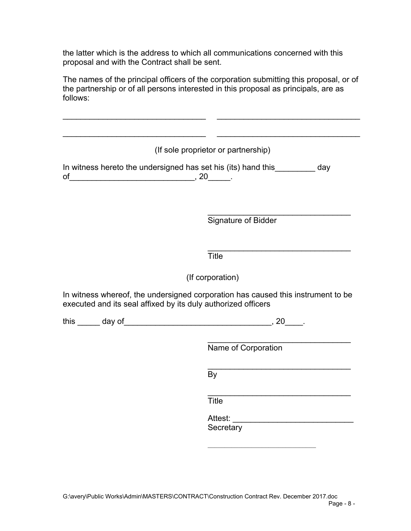the latter which is the address to which all communications concerned with this proposal and with the Contract shall be sent.

The names of the principal officers of the corporation submitting this proposal, or of the partnership or of all persons interested in this proposal as principals, are as follows:

|                                                               | (If sole proprietor or partnership)                                                    |
|---------------------------------------------------------------|----------------------------------------------------------------------------------------|
| of                                                            | In witness hereto the undersigned has set his (its) hand this_________ day             |
|                                                               | Signature of Bidder                                                                    |
|                                                               |                                                                                        |
|                                                               | <b>Title</b>                                                                           |
|                                                               | (If corporation)                                                                       |
|                                                               |                                                                                        |
|                                                               | Name of Corporation                                                                    |
|                                                               | In witness whereof, the undersigned corporation has caused this instrument to be<br>By |
|                                                               | <b>Title</b>                                                                           |
| executed and its seal affixed by its duly authorized officers | Attest:<br>Secretary                                                                   |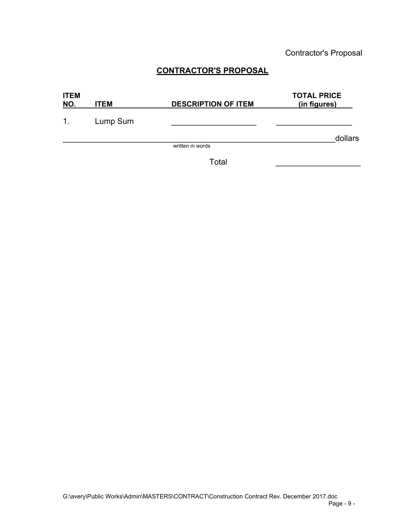Contractor's Proposal

# **CONTRACTOR'S PROPOSAL**

| <b>ITEM</b><br>NO. | <b>ITEM</b> | <b>DESCRIPTION OF ITEM</b> | <b>TOTAL PRICE</b><br>(in figures) |
|--------------------|-------------|----------------------------|------------------------------------|
| 1 <sub>1</sub>     | Lump Sum    |                            |                                    |
|                    |             |                            | dollars                            |
|                    |             | written in words           |                                    |

 $\blacksquare$   $\blacksquare$   $\blacksquare$   $\blacksquare$   $\blacksquare$   $\blacksquare$   $\blacksquare$   $\blacksquare$   $\blacksquare$   $\blacksquare$   $\blacksquare$   $\blacksquare$   $\blacksquare$   $\blacksquare$   $\blacksquare$   $\blacksquare$   $\blacksquare$   $\blacksquare$   $\blacksquare$   $\blacksquare$   $\blacksquare$   $\blacksquare$   $\blacksquare$   $\blacksquare$   $\blacksquare$   $\blacksquare$   $\blacksquare$   $\blacksquare$   $\blacksquare$   $\blacksquare$   $\blacksquare$   $\blacks$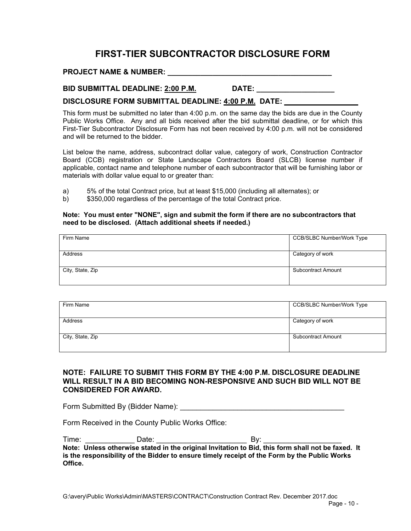# **FIRST-TIER SUBCONTRACTOR DISCLOSURE FORM**

#### **PROJECT NAME & NUMBER:**  $\blacksquare$

#### **BID SUBMITTAL DEADLINE: 2:00 P.M. DATE: \_ \_ \_ \_ \_ \_ \_ \_ \_ \_ \_ \_ \_ \_ \_ \_ \_ \_**

#### DISCLOSURE FORM SUBMITTAL DEADLINE: 4:00 P.M. DATE:

This form must be submitted no later than 4:00 p.m. on the same day the bids are due in the County Public Works Office. Any and all bids received after the bid submittal deadline, or for which this First-Tier Subcontractor Disclosure Form has not been received by 4:00 p.m. will not be considered and will be returned to the bidder.

List below the name, address, subcontract dollar value, category of work, Construction Contractor Board (CCB) registration or State Landscape Contractors Board (SLCB) license number if applicable, contact name and telephone number of each subcontractor that will be furnishing labor or materials with dollar value equal to or greater than:

- a) 5% of the total Contract price, but at least \$15,000 (including all alternates); or
- \$350,000 regardless of the percentage of the total Contract price.

#### **Note: You must enter "NONE", sign and submit the form if there are no subcontractors that need to be disclosed. (Attach additional sheets if needed.)**

| Firm Name        | <b>CCB/SLBC Number/Work Type</b> |
|------------------|----------------------------------|
|                  |                                  |
| Address          | Category of work                 |
|                  |                                  |
| City, State, Zip | <b>Subcontract Amount</b>        |
|                  |                                  |

| Firm Name        | <b>CCB/SLBC Number/Work Type</b> |
|------------------|----------------------------------|
| Address          | Category of work                 |
| City, State, Zip | Subcontract Amount               |

#### **NOTE: FAILURE TO SUBMIT THIS FORM BY THE 4:00 P.M. DISCLOSURE DEADLINE WILL RESULT IN A BID BECOMING NON-RESPONSIVE AND SUCH BID WILL NOT BE CONSIDERED FOR AWARD.**

Form Submitted By (Bidder Name):

Form Received in the County Public Works Office:

| Time:   | Date: | Bv:                                                                                               |  |
|---------|-------|---------------------------------------------------------------------------------------------------|--|
|         |       | Note: Unless otherwise stated in the original Invitation to Bid, this form shall not be faxed. It |  |
|         |       | is the responsibility of the Bidder to ensure timely receipt of the Form by the Public Works      |  |
| Office. |       |                                                                                                   |  |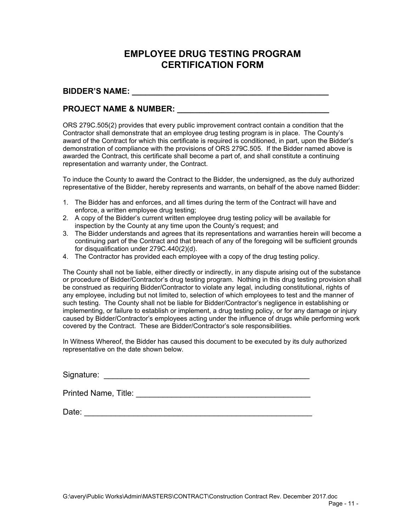# **EMPLOYEE DRUG TESTING PROGRAM CERTIFICATION FORM**

#### **BIDDER'S NAME: \_\_\_\_\_\_\_\_\_\_\_\_\_\_\_\_\_\_\_\_\_\_\_\_\_\_\_\_\_\_\_\_\_\_\_\_\_\_\_\_\_\_\_\_**

#### **PROJECT NAME & NUMBER:**  $\blacksquare$

ORS 279C.505(2) provides that every public improvement contract contain a condition that the Contractor shall demonstrate that an employee drug testing program is in place. The County's award of the Contract for which this certificate is required is conditioned, in part, upon the Bidder's demonstration of compliance with the provisions of ORS 279C.505. If the Bidder named above is awarded the Contract, this certificate shall become a part of, and shall constitute a continuing representation and warranty under, the Contract.

To induce the County to award the Contract to the Bidder, the undersigned, as the duly authorized representative of the Bidder, hereby represents and warrants, on behalf of the above named Bidder:

- 1. The Bidder has and enforces, and all times during the term of the Contract will have and enforce, a written employee drug testing;
- 2. A copy of the Bidder's current written employee drug testing policy will be available for inspection by the County at any time upon the County's request; and
- 3. The Bidder understands and agrees that its representations and warranties herein will become a continuing part of the Contract and that breach of any of the foregoing will be sufficient grounds for disqualification under 279C.440(2)(d).
- 4. The Contractor has provided each employee with a copy of the drug testing policy.

The County shall not be liable, either directly or indirectly, in any dispute arising out of the substance or procedure of Bidder/Contractor's drug testing program. Nothing in this drug testing provision shall be construed as requiring Bidder/Contractor to violate any legal, including constitutional, rights of any employee, including but not limited to, selection of which employees to test and the manner of such testing. The County shall not be liable for Bidder/Contractor's negligence in establishing or implementing, or failure to establish or implement, a drug testing policy, or for any damage or injury caused by Bidder/Contractor's employees acting under the influence of drugs while performing work covered by the Contract. These are Bidder/Contractor's sole responsibilities.

In Witness Whereof, the Bidder has caused this document to be executed by its duly authorized representative on the date shown below.

Signature: \_\_\_\_\_\_\_\_\_\_\_\_\_\_\_\_\_\_\_\_\_\_\_\_\_\_\_\_\_\_\_\_\_\_\_\_\_\_\_\_\_\_\_\_\_\_

Printed Name, Title: \_\_\_\_\_\_\_\_\_\_\_\_\_\_\_\_\_\_\_\_\_\_\_\_\_\_\_\_\_\_\_\_\_\_\_\_\_\_\_

Date: \_\_\_\_\_\_\_\_\_\_\_\_\_\_\_\_\_\_\_\_\_\_\_\_\_\_\_\_\_\_\_\_\_\_\_\_\_\_\_\_\_\_\_\_\_\_\_\_\_\_\_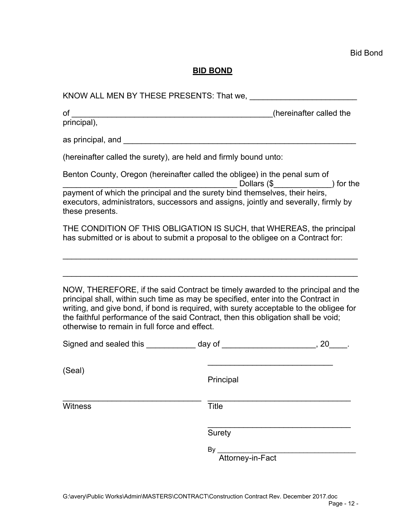# **BID BOND**

| principal),                                                                                                                                                                                                              |                                                                                                                                                                           |
|--------------------------------------------------------------------------------------------------------------------------------------------------------------------------------------------------------------------------|---------------------------------------------------------------------------------------------------------------------------------------------------------------------------|
|                                                                                                                                                                                                                          |                                                                                                                                                                           |
| (hereinafter called the surety), are held and firmly bound unto:                                                                                                                                                         |                                                                                                                                                                           |
| Benton County, Oregon (hereinafter called the obligee) in the penal sum of                                                                                                                                               |                                                                                                                                                                           |
| these presents.                                                                                                                                                                                                          | payment of which the principal and the surety bind themselves, their heirs, (\$<br>executors, administrators, successors and assigns, jointly and severally, firmly by    |
| has submitted or is about to submit a proposal to the obligee on a Contract for:                                                                                                                                         | THE CONDITION OF THIS OBLIGATION IS SUCH, that WHEREAS, the principal                                                                                                     |
|                                                                                                                                                                                                                          |                                                                                                                                                                           |
| principal shall, within such time as may be specified, enter into the Contract in<br>the faithful performance of the said Contract, then this obligation shall be void;<br>otherwise to remain in full force and effect. | NOW, THEREFORE, if the said Contract be timely awarded to the principal and the<br>writing, and give bond, if bond is required, with surety acceptable to the obligee for |
|                                                                                                                                                                                                                          | Signed and sealed this ____________ day of _______________________, 20_____.                                                                                              |
| (Seal)                                                                                                                                                                                                                   | Principal                                                                                                                                                                 |
| <b>Witness</b>                                                                                                                                                                                                           | <b>Title</b>                                                                                                                                                              |
|                                                                                                                                                                                                                          | <b>Surety</b>                                                                                                                                                             |
|                                                                                                                                                                                                                          | By.<br>Attorney-in-Fact                                                                                                                                                   |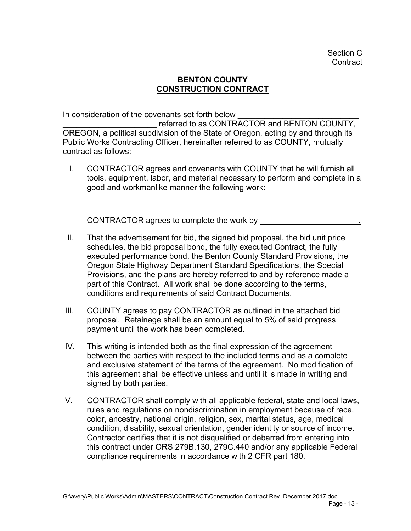# **BENTON COUNTY CONSTRUCTION CONTRACT**

In consideration of the covenants set forth below

referred to as CONTRACTOR and BENTON COUNTY, OREGON, a political subdivision of the State of Oregon, acting by and through its Public Works Contracting Officer, hereinafter referred to as COUNTY, mutually contract as follows:

 I. CONTRACTOR agrees and covenants with COUNTY that he will furnish all tools, equipment, labor, and material necessary to perform and complete in a good and workmanlike manner the following work:

\_\_\_\_\_\_\_\_\_\_\_\_\_\_\_\_\_\_\_\_\_\_\_\_\_\_\_\_\_\_\_\_\_\_\_\_\_\_\_\_\_\_\_\_\_\_\_\_\_\_\_\_\_\_\_\_\_\_

CONTRACTOR agrees to complete the work by \_\_\_\_\_\_\_\_\_\_\_\_\_\_\_\_\_\_\_\_\_\_.

- II. That the advertisement for bid, the signed bid proposal, the bid unit price schedules, the bid proposal bond, the fully executed Contract, the fully executed performance bond, the Benton County Standard Provisions, the Oregon State Highway Department Standard Specifications, the Special Provisions, and the plans are hereby referred to and by reference made a part of this Contract. All work shall be done according to the terms, conditions and requirements of said Contract Documents.
- III. COUNTY agrees to pay CONTRACTOR as outlined in the attached bid proposal. Retainage shall be an amount equal to 5% of said progress payment until the work has been completed.
- IV. This writing is intended both as the final expression of the agreement between the parties with respect to the included terms and as a complete and exclusive statement of the terms of the agreement. No modification of this agreement shall be effective unless and until it is made in writing and signed by both parties.
- V. CONTRACTOR shall comply with all applicable federal, state and local laws, rules and regulations on nondiscrimination in employment because of race, color, ancestry, national origin, religion, sex, marital status, age, medical condition, disability, sexual orientation, gender identity or source of income. Contractor certifies that it is not disqualified or debarred from entering into this contract under ORS 279B.130, 279C.440 and/or any applicable Federal compliance requirements in accordance with 2 CFR part 180.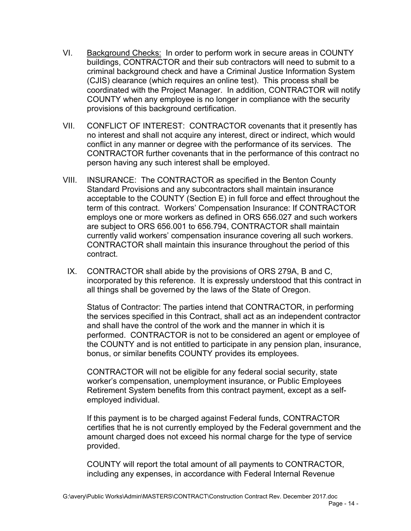- VI. Background Checks: In order to perform work in secure areas in COUNTY buildings, CONTRACTOR and their sub contractors will need to submit to a criminal background check and have a Criminal Justice Information System (CJIS) clearance (which requires an online test). This process shall be coordinated with the Project Manager. In addition, CONTRACTOR will notify COUNTY when any employee is no longer in compliance with the security provisions of this background certification.
- VII. CONFLICT OF INTEREST: CONTRACTOR covenants that it presently has no interest and shall not acquire any interest, direct or indirect, which would conflict in any manner or degree with the performance of its services. The CONTRACTOR further covenants that in the performance of this contract no person having any such interest shall be employed.
- VIII. INSURANCE: The CONTRACTOR as specified in the Benton County Standard Provisions and any subcontractors shall maintain insurance acceptable to the COUNTY (Section E) in full force and effect throughout the term of this contract. Workers' Compensation Insurance: If CONTRACTOR employs one or more workers as defined in ORS 656.027 and such workers are subject to ORS 656.001 to 656.794, CONTRACTOR shall maintain currently valid workers' compensation insurance covering all such workers. CONTRACTOR shall maintain this insurance throughout the period of this contract.
	- IX. CONTRACTOR shall abide by the provisions of ORS 279A, B and C, incorporated by this reference. It is expressly understood that this contract in all things shall be governed by the laws of the State of Oregon.

 Status of Contractor: The parties intend that CONTRACTOR, in performing the services specified in this Contract, shall act as an independent contractor and shall have the control of the work and the manner in which it is performed. CONTRACTOR is not to be considered an agent or employee of the COUNTY and is not entitled to participate in any pension plan, insurance, bonus, or similar benefits COUNTY provides its employees.

CONTRACTOR will not be eligible for any federal social security, state worker's compensation, unemployment insurance, or Public Employees Retirement System benefits from this contract payment, except as a selfemployed individual.

If this payment is to be charged against Federal funds, CONTRACTOR certifies that he is not currently employed by the Federal government and the amount charged does not exceed his normal charge for the type of service provided.

COUNTY will report the total amount of all payments to CONTRACTOR, including any expenses, in accordance with Federal Internal Revenue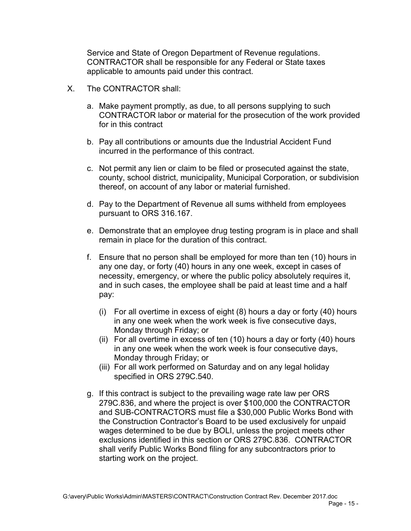Service and State of Oregon Department of Revenue regulations. CONTRACTOR shall be responsible for any Federal or State taxes applicable to amounts paid under this contract.

- X. The CONTRACTOR shall:
	- a. Make payment promptly, as due, to all persons supplying to such CONTRACTOR labor or material for the prosecution of the work provided for in this contract
	- b. Pay all contributions or amounts due the Industrial Accident Fund incurred in the performance of this contract.
	- c. Not permit any lien or claim to be filed or prosecuted against the state, county, school district, municipality, Municipal Corporation, or subdivision thereof, on account of any labor or material furnished.
	- d. Pay to the Department of Revenue all sums withheld from employees pursuant to ORS 316.167.
	- e. Demonstrate that an employee drug testing program is in place and shall remain in place for the duration of this contract.
	- f. Ensure that no person shall be employed for more than ten (10) hours in any one day, or forty (40) hours in any one week, except in cases of necessity, emergency, or where the public policy absolutely requires it, and in such cases, the employee shall be paid at least time and a half pay:
		- (i) For all overtime in excess of eight (8) hours a day or forty (40) hours in any one week when the work week is five consecutive days, Monday through Friday; or
		- (ii) For all overtime in excess of ten (10) hours a day or forty (40) hours in any one week when the work week is four consecutive days, Monday through Friday; or
		- (iii) For all work performed on Saturday and on any legal holiday specified in ORS 279C.540.
	- g. If this contract is subject to the prevailing wage rate law per ORS 279C.836, and where the project is over \$100,000 the CONTRACTOR and SUB-CONTRACTORS must file a \$30,000 Public Works Bond with the Construction Contractor's Board to be used exclusively for unpaid wages determined to be due by BOLI, unless the project meets other exclusions identified in this section or ORS 279C.836. CONTRACTOR shall verify Public Works Bond filing for any subcontractors prior to starting work on the project.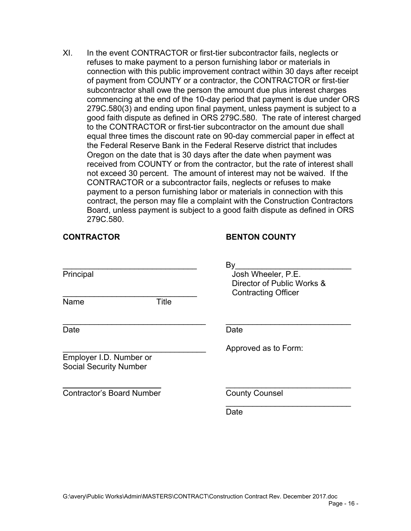XI. In the event CONTRACTOR or first-tier subcontractor fails, neglects or refuses to make payment to a person furnishing labor or materials in connection with this public improvement contract within 30 days after receipt of payment from COUNTY or a contractor, the CONTRACTOR or first-tier subcontractor shall owe the person the amount due plus interest charges commencing at the end of the 10-day period that payment is due under ORS 279C.580(3) and ending upon final payment, unless payment is subject to a good faith dispute as defined in ORS 279C.580. The rate of interest charged to the CONTRACTOR or first-tier subcontractor on the amount due shall equal three times the discount rate on 90-day commercial paper in effect at the Federal Reserve Bank in the Federal Reserve district that includes Oregon on the date that is 30 days after the date when payment was received from COUNTY or from the contractor, but the rate of interest shall not exceed 30 percent. The amount of interest may not be waived. If the CONTRACTOR or a subcontractor fails, neglects or refuses to make payment to a person furnishing labor or materials in connection with this contract, the person may file a complaint with the Construction Contractors Board, unless payment is subject to a good faith dispute as defined in ORS 279C.580.

## **CONTRACTOR BENTON COUNTY**

| Principal                                                | By<br>Josh Wheeler, P.E.<br>Director of Public Works &<br><b>Contracting Officer</b> |
|----------------------------------------------------------|--------------------------------------------------------------------------------------|
| Title<br>Name                                            |                                                                                      |
| Date                                                     | Date                                                                                 |
| Employer I.D. Number or<br><b>Social Security Number</b> | Approved as to Form:                                                                 |
| <b>Contractor's Board Number</b>                         | <b>County Counsel</b>                                                                |
|                                                          | Date                                                                                 |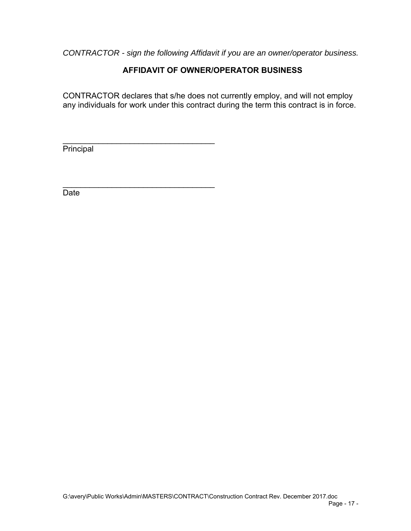*CONTRACTOR - sign the following Affidavit if you are an owner/operator business.* 

# **AFFIDAVIT OF OWNER/OPERATOR BUSINESS**

CONTRACTOR declares that s/he does not currently employ, and will not employ any individuals for work under this contract during the term this contract is in force.

**Principal** 

\_\_\_\_\_\_\_\_\_\_\_\_\_\_\_\_\_\_\_\_\_\_\_\_\_\_\_\_\_\_\_\_\_\_

 $\mathcal{L}_\text{max}$  , and the set of the set of the set of the set of the set of the set of the set of the set of the set of the set of the set of the set of the set of the set of the set of the set of the set of the set of the

Date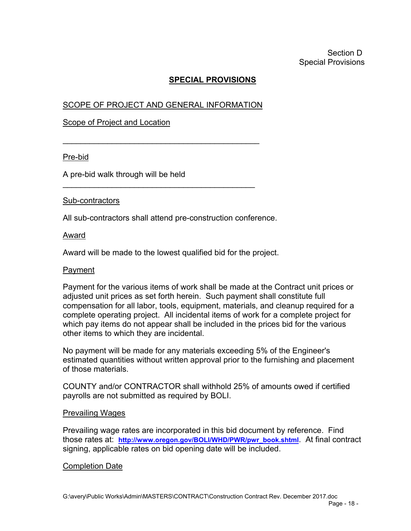# **SPECIAL PROVISIONS**

# SCOPE OF PROJECT AND GENERAL INFORMATION

 $\mathcal{L}_\text{max}$  , and the set of the set of the set of the set of the set of the set of the set of the set of the set of the set of the set of the set of the set of the set of the set of the set of the set of the set of the

\_\_\_\_\_\_\_\_\_\_\_\_\_\_\_\_\_\_\_\_\_\_\_\_\_\_\_\_\_\_\_\_\_\_\_\_\_\_\_\_\_\_\_

## Scope of Project and Location

#### Pre-bid

A pre-bid walk through will be held

#### Sub-contractors

All sub-contractors shall attend pre-construction conference.

#### Award

Award will be made to the lowest qualified bid for the project.

#### Payment

Payment for the various items of work shall be made at the Contract unit prices or adjusted unit prices as set forth herein. Such payment shall constitute full compensation for all labor, tools, equipment, materials, and cleanup required for a complete operating project. All incidental items of work for a complete project for which pay items do not appear shall be included in the prices bid for the various other items to which they are incidental.

No payment will be made for any materials exceeding 5% of the Engineer's estimated quantities without written approval prior to the furnishing and placement of those materials.

COUNTY and/or CONTRACTOR shall withhold 25% of amounts owed if certified payrolls are not submitted as required by BOLI.

#### Prevailing Wages

Prevailing wage rates are incorporated in this bid document by reference. Find those rates at: **http://www.oregon.gov/BOLI/WHD/PWR/pwr\_book.shtml**. At final contract signing, applicable rates on bid opening date will be included.

## Completion Date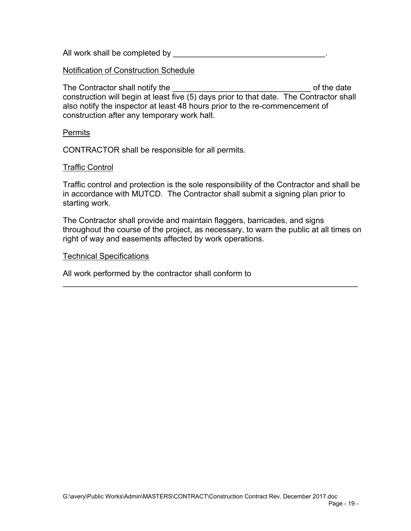All work shall be completed by

#### Notification of Construction Schedule

The Contractor shall notify the \_\_\_\_\_\_\_\_\_\_\_\_\_\_\_\_\_\_\_\_\_\_\_\_\_\_\_\_\_\_\_ of the date construction will begin at least five (5) days prior to that date. The Contractor shall also notify the inspector at least 48 hours prior to the re-commencement of construction after any temporary work halt.

#### Permits

CONTRACTOR shall be responsible for all permits.

#### Traffic Control

Traffic control and protection is the sole responsibility of the Contractor and shall be in accordance with MUTCD. The Contractor shall submit a signing plan prior to starting work.

The Contractor shall provide and maintain flaggers, barricades, and signs throughout the course of the project, as necessary, to warn the public at all times on right of way and easements affected by work operations.

 $\overline{a}$  , and the contribution of the contribution of the contribution of the contribution of the contribution of the contribution of the contribution of the contribution of the contribution of the contribution of the co

#### Technical Specifications

All work performed by the contractor shall conform to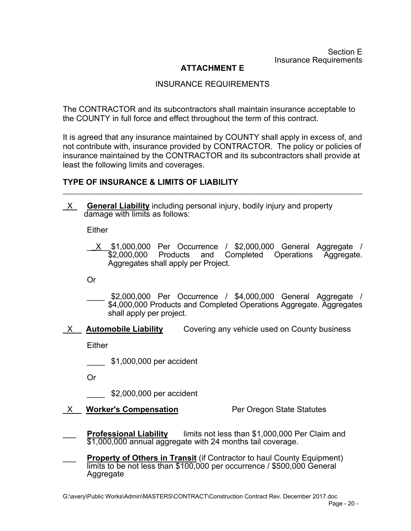Section E Insurance Requirements

# **ATTACHMENT E**

## INSURANCE REQUIREMENTS

The CONTRACTOR and its subcontractors shall maintain insurance acceptable to the COUNTY in full force and effect throughout the term of this contract.

It is agreed that any insurance maintained by COUNTY shall apply in excess of, and not contribute with, insurance provided by CONTRACTOR. The policy or policies of insurance maintained by the CONTRACTOR and its subcontractors shall provide at least the following limits and coverages.

\_\_\_\_\_\_\_\_\_\_\_\_\_\_\_\_\_\_\_\_\_\_\_\_\_\_\_\_\_\_\_\_\_\_\_\_\_\_\_\_\_\_\_\_\_\_\_\_\_\_\_\_\_\_\_\_\_\_\_\_\_\_\_\_\_\_\_\_\_\_\_\_\_\_\_\_\_\_\_\_

## **TYPE OF INSURANCE & LIMITS OF LIABILITY**

\_X\_ **General Liability** including personal injury, bodily injury and property damage with limits as follows:

**Either** 

\_\_X\_\_ \$1,000,000 Per Occurrence / \$2,000,000 General Aggregate / Products and Completed Operations Aggregate. Aggregates shall apply per Project.

Or

- \$2,000,000 Per Occurrence / \$4,000,000 General Aggregate / \$4,000,000 Products and Completed Operations Aggregate. Aggregates shall apply per project.
- \_X\_\_ **Automobile Liability** Covering any vehicle used on County business

Either

\_\_\_\_ \$1,000,000 per accident

Or

\_\_\_\_ \$2,000,000 per accident

X Worker's Compensation **Per Oregon State Statutes** 

- **Professional Liability** limits not less than \$1,000,000 Per Claim and \$1,000,000 annual aggregate with 24 months tail coverage.
- **Property of Others in Transit** (if Contractor to haul County Equipment) limits to be not less than \$100,000 per occurrence / \$500,000 General Aggregate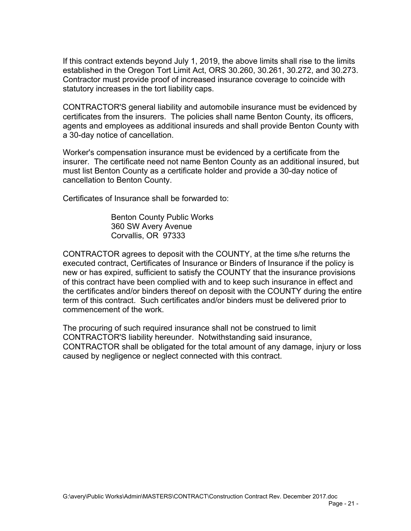If this contract extends beyond July 1, 2019, the above limits shall rise to the limits established in the Oregon Tort Limit Act, ORS 30.260, 30.261, 30.272, and 30.273. Contractor must provide proof of increased insurance coverage to coincide with statutory increases in the tort liability caps.

CONTRACTOR'S general liability and automobile insurance must be evidenced by certificates from the insurers. The policies shall name Benton County, its officers, agents and employees as additional insureds and shall provide Benton County with a 30-day notice of cancellation.

Worker's compensation insurance must be evidenced by a certificate from the insurer. The certificate need not name Benton County as an additional insured, but must list Benton County as a certificate holder and provide a 30-day notice of cancellation to Benton County.

Certificates of Insurance shall be forwarded to:

 Benton County Public Works 360 SW Avery Avenue Corvallis, OR 97333

CONTRACTOR agrees to deposit with the COUNTY, at the time s/he returns the executed contract, Certificates of Insurance or Binders of Insurance if the policy is new or has expired, sufficient to satisfy the COUNTY that the insurance provisions of this contract have been complied with and to keep such insurance in effect and the certificates and/or binders thereof on deposit with the COUNTY during the entire term of this contract. Such certificates and/or binders must be delivered prior to commencement of the work.

The procuring of such required insurance shall not be construed to limit CONTRACTOR'S liability hereunder. Notwithstanding said insurance, CONTRACTOR shall be obligated for the total amount of any damage, injury or loss caused by negligence or neglect connected with this contract.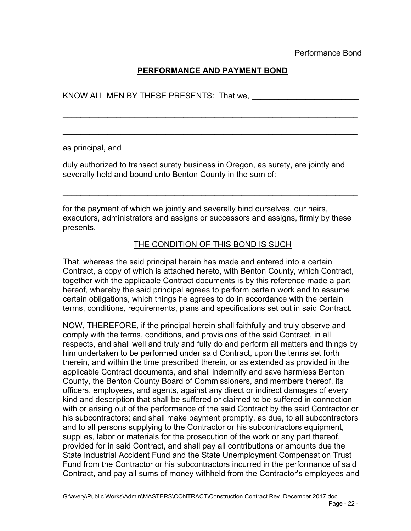# **PERFORMANCE AND PAYMENT BOND**

 $\overline{a}$  , and the contribution of the contribution of the contribution of the contribution of the contribution of the contribution of the contribution of the contribution of the contribution of the contribution of the co

 $\mathcal{L}_\mathcal{L} = \{ \mathcal{L}_\mathcal{L} = \{ \mathcal{L}_\mathcal{L} = \{ \mathcal{L}_\mathcal{L} = \{ \mathcal{L}_\mathcal{L} = \{ \mathcal{L}_\mathcal{L} = \{ \mathcal{L}_\mathcal{L} = \{ \mathcal{L}_\mathcal{L} = \{ \mathcal{L}_\mathcal{L} = \{ \mathcal{L}_\mathcal{L} = \{ \mathcal{L}_\mathcal{L} = \{ \mathcal{L}_\mathcal{L} = \{ \mathcal{L}_\mathcal{L} = \{ \mathcal{L}_\mathcal{L} = \{ \mathcal{L}_\mathcal{$ 

KNOW ALL MEN BY THESE PRESENTS: That we,

as principal, and \_\_\_\_\_\_\_\_\_\_\_\_\_\_\_\_\_\_\_\_\_\_\_\_\_\_\_\_\_\_\_\_\_\_\_\_\_\_\_\_\_\_\_\_\_\_\_\_\_\_\_\_

duly authorized to transact surety business in Oregon, as surety, are jointly and severally held and bound unto Benton County in the sum of:

for the payment of which we jointly and severally bind ourselves, our heirs, executors, administrators and assigns or successors and assigns, firmly by these presents.

 $\overline{a}$  , and the contribution of the contribution of the contribution of the contribution of the contribution of the contribution of the contribution of the contribution of the contribution of the contribution of the co

THE CONDITION OF THIS BOND IS SUCH

That, whereas the said principal herein has made and entered into a certain Contract, a copy of which is attached hereto, with Benton County, which Contract, together with the applicable Contract documents is by this reference made a part hereof, whereby the said principal agrees to perform certain work and to assume certain obligations, which things he agrees to do in accordance with the certain terms, conditions, requirements, plans and specifications set out in said Contract.

NOW, THEREFORE, if the principal herein shall faithfully and truly observe and comply with the terms, conditions, and provisions of the said Contract, in all respects, and shall well and truly and fully do and perform all matters and things by him undertaken to be performed under said Contract, upon the terms set forth therein, and within the time prescribed therein, or as extended as provided in the applicable Contract documents, and shall indemnify and save harmless Benton County, the Benton County Board of Commissioners, and members thereof, its officers, employees, and agents, against any direct or indirect damages of every kind and description that shall be suffered or claimed to be suffered in connection with or arising out of the performance of the said Contract by the said Contractor or his subcontractors; and shall make payment promptly, as due, to all subcontractors and to all persons supplying to the Contractor or his subcontractors equipment, supplies, labor or materials for the prosecution of the work or any part thereof, provided for in said Contract, and shall pay all contributions or amounts due the State Industrial Accident Fund and the State Unemployment Compensation Trust Fund from the Contractor or his subcontractors incurred in the performance of said Contract, and pay all sums of money withheld from the Contractor's employees and